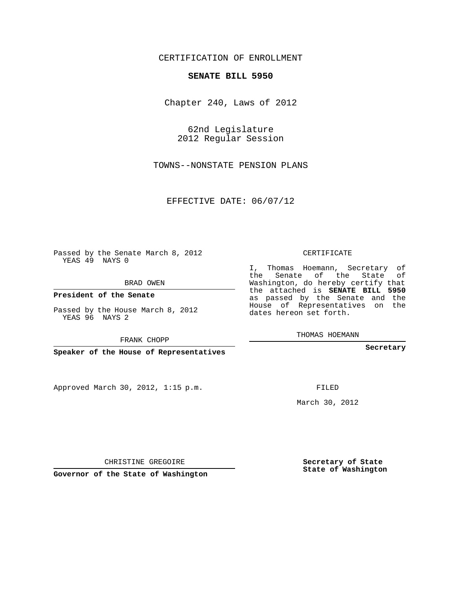## CERTIFICATION OF ENROLLMENT

## **SENATE BILL 5950**

Chapter 240, Laws of 2012

62nd Legislature 2012 Regular Session

TOWNS--NONSTATE PENSION PLANS

EFFECTIVE DATE: 06/07/12

Passed by the Senate March 8, 2012 YEAS 49 NAYS 0

BRAD OWEN

**President of the Senate**

Passed by the House March 8, 2012 YEAS 96 NAYS 2

FRANK CHOPP

**Speaker of the House of Representatives**

Approved March 30, 2012, 1:15 p.m.

CERTIFICATE

I, Thomas Hoemann, Secretary of the Senate of the State of Washington, do hereby certify that the attached is **SENATE BILL 5950** as passed by the Senate and the House of Representatives on the dates hereon set forth.

THOMAS HOEMANN

**Secretary**

FILED

March 30, 2012

**Secretary of State State of Washington**

CHRISTINE GREGOIRE

**Governor of the State of Washington**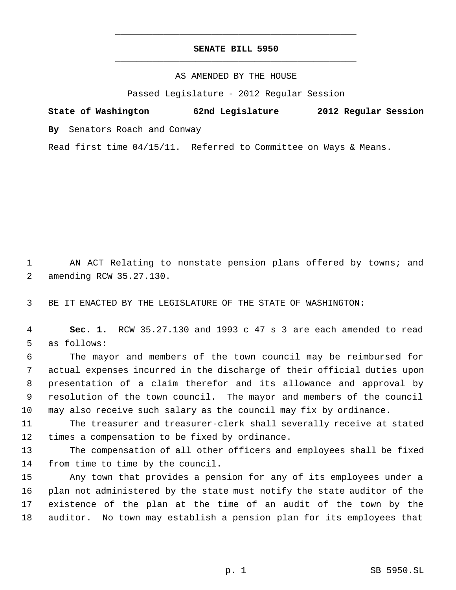## **SENATE BILL 5950** \_\_\_\_\_\_\_\_\_\_\_\_\_\_\_\_\_\_\_\_\_\_\_\_\_\_\_\_\_\_\_\_\_\_\_\_\_\_\_\_\_\_\_\_\_

\_\_\_\_\_\_\_\_\_\_\_\_\_\_\_\_\_\_\_\_\_\_\_\_\_\_\_\_\_\_\_\_\_\_\_\_\_\_\_\_\_\_\_\_\_

## AS AMENDED BY THE HOUSE

Passed Legislature - 2012 Regular Session

|  | State of Washington | 62nd Legislature |  | 2012 Regular Session |  |
|--|---------------------|------------------|--|----------------------|--|
|  |                     |                  |  |                      |  |

**By** Senators Roach and Conway

Read first time 04/15/11. Referred to Committee on Ways & Means.

1 AN ACT Relating to nonstate pension plans offered by towns; and amending RCW 35.27.130.

BE IT ENACTED BY THE LEGISLATURE OF THE STATE OF WASHINGTON:

 **Sec. 1.** RCW 35.27.130 and 1993 c 47 s 3 are each amended to read as follows:

 The mayor and members of the town council may be reimbursed for actual expenses incurred in the discharge of their official duties upon presentation of a claim therefor and its allowance and approval by resolution of the town council. The mayor and members of the council may also receive such salary as the council may fix by ordinance.

 The treasurer and treasurer-clerk shall severally receive at stated times a compensation to be fixed by ordinance.

 The compensation of all other officers and employees shall be fixed from time to time by the council.

 Any town that provides a pension for any of its employees under a plan not administered by the state must notify the state auditor of the existence of the plan at the time of an audit of the town by the auditor. No town may establish a pension plan for its employees that